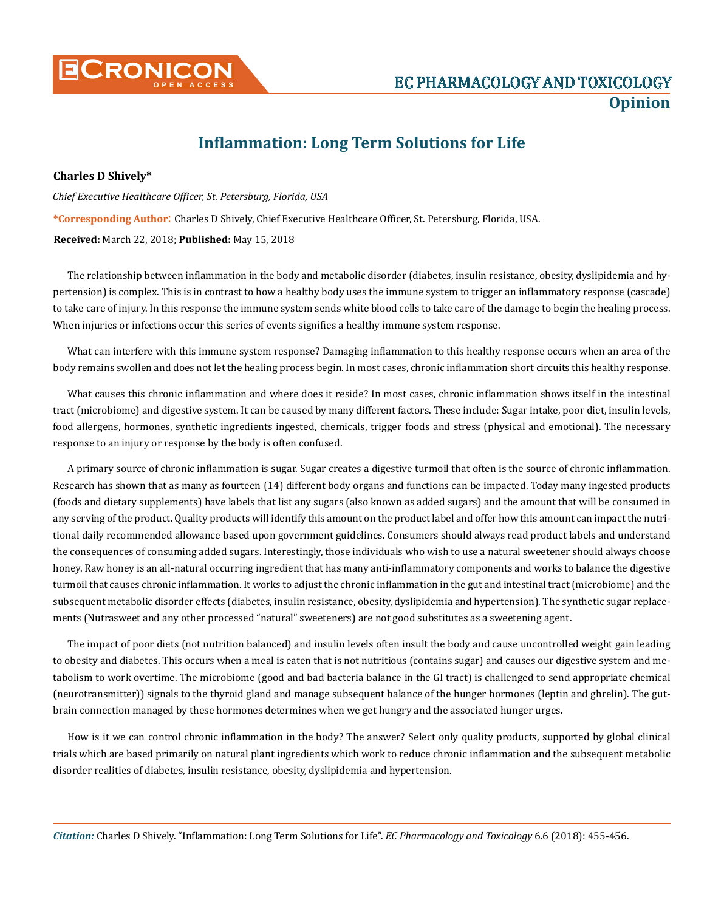

## **Inflammation: Long Term Solutions for Life**

**Charles D Shively\***

*Chief Executive Healthcare Officer, St. Petersburg, Florida, USA* **\*Corresponding Author**: Charles D Shively, Chief Executive Healthcare Officer, St. Petersburg, Florida, USA. **Received:** March 22, 2018; **Published:** May 15, 2018

The relationship between inflammation in the body and metabolic disorder (diabetes, insulin resistance, obesity, dyslipidemia and hypertension) is complex. This is in contrast to how a healthy body uses the immune system to trigger an inflammatory response (cascade) to take care of injury. In this response the immune system sends white blood cells to take care of the damage to begin the healing process. When injuries or infections occur this series of events signifies a healthy immune system response.

What can interfere with this immune system response? Damaging inflammation to this healthy response occurs when an area of the body remains swollen and does not let the healing process begin. In most cases, chronic inflammation short circuits this healthy response.

What causes this chronic inflammation and where does it reside? In most cases, chronic inflammation shows itself in the intestinal tract (microbiome) and digestive system. It can be caused by many different factors. These include: Sugar intake, poor diet, insulin levels, food allergens, hormones, synthetic ingredients ingested, chemicals, trigger foods and stress (physical and emotional). The necessary response to an injury or response by the body is often confused.

A primary source of chronic inflammation is sugar. Sugar creates a digestive turmoil that often is the source of chronic inflammation. Research has shown that as many as fourteen (14) different body organs and functions can be impacted. Today many ingested products (foods and dietary supplements) have labels that list any sugars (also known as added sugars) and the amount that will be consumed in any serving of the product. Quality products will identify this amount on the product label and offer how this amount can impact the nutritional daily recommended allowance based upon government guidelines. Consumers should always read product labels and understand the consequences of consuming added sugars. Interestingly, those individuals who wish to use a natural sweetener should always choose honey. Raw honey is an all-natural occurring ingredient that has many anti-inflammatory components and works to balance the digestive turmoil that causes chronic inflammation. It works to adjust the chronic inflammation in the gut and intestinal tract (microbiome) and the subsequent metabolic disorder effects (diabetes, insulin resistance, obesity, dyslipidemia and hypertension). The synthetic sugar replacements (Nutrasweet and any other processed "natural" sweeteners) are not good substitutes as a sweetening agent.

The impact of poor diets (not nutrition balanced) and insulin levels often insult the body and cause uncontrolled weight gain leading to obesity and diabetes. This occurs when a meal is eaten that is not nutritious (contains sugar) and causes our digestive system and metabolism to work overtime. The microbiome (good and bad bacteria balance in the GI tract) is challenged to send appropriate chemical (neurotransmitter)) signals to the thyroid gland and manage subsequent balance of the hunger hormones (leptin and ghrelin). The gutbrain connection managed by these hormones determines when we get hungry and the associated hunger urges.

How is it we can control chronic inflammation in the body? The answer? Select only quality products, supported by global clinical trials which are based primarily on natural plant ingredients which work to reduce chronic inflammation and the subsequent metabolic disorder realities of diabetes, insulin resistance, obesity, dyslipidemia and hypertension.

*Citation:* Charles D Shively. "Inflammation: Long Term Solutions for Life". *EC Pharmacology and Toxicology* 6.6 (2018): 455-456.